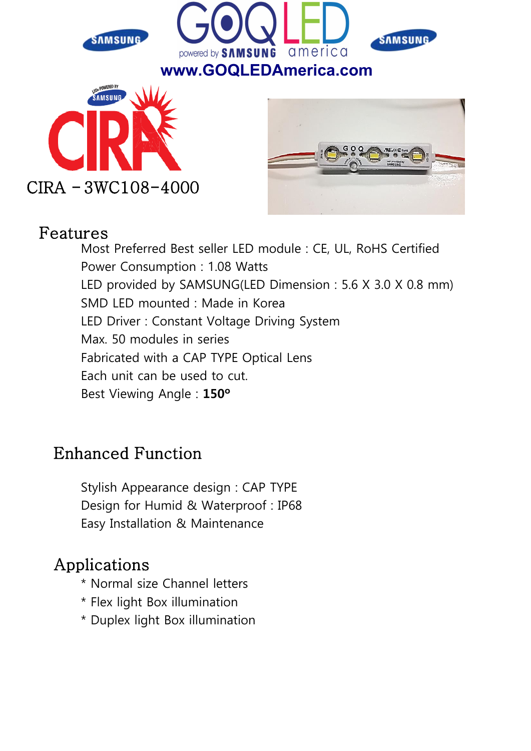

#### Features

Most Preferred Best seller LED module : CE, UL, RoHS Certified Power Consumption : 1.08 Watts LED provided by SAMSUNG(LED Dimension : 5.6 X 3.0 X 0.8 mm) SMD LED mounted : Made in Korea LED Driver : Constant Voltage Driving System Max. 50 modules in series Fabricated with a CAP TYPE Optical Lens Each unit can be used to cut. Best Viewing Angle : 150º

## Enhanced Function

Stylish Appearance design : CAP TYPE Design for Humid & Waterproof : IP68 Easy Installation & Maintenance

## Applications

- \* Normal size Channel letters
- \* Flex light Box illumination
- \* Duplex light Box illumination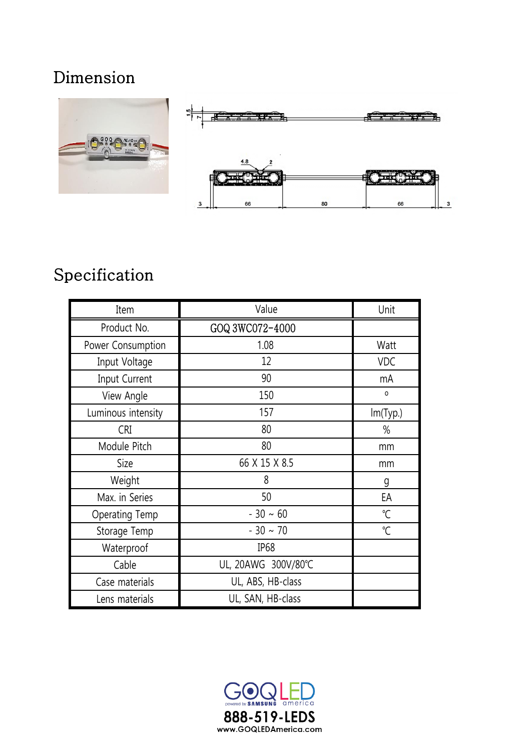## Dimension



## Specification

| Item                  | Value               | Unit                 |  |
|-----------------------|---------------------|----------------------|--|
| Product No.           | GOQ 3WC072-4000     |                      |  |
| Power Consumption     | 1.08                | Watt                 |  |
| Input Voltage         | 12                  | <b>VDC</b>           |  |
| Input Current         | 90                  | mA                   |  |
| View Angle            | 150                 | $\mathsf{O}\xspace$  |  |
| Luminous intensity    | 157                 | Im(Typ.)             |  |
| <b>CRI</b>            | 80                  | $\%$                 |  |
| Module Pitch          | 80                  | mm                   |  |
| Size                  | 66 X 15 X 8.5       | mm                   |  |
| Weight                | 8                   | g                    |  |
| Max. in Series        | 50                  | EA                   |  |
| <b>Operating Temp</b> | $-30 \sim 60$       | $\mathrm{C}$         |  |
| Storage Temp          | $-30 \sim 70$       | $\mathrm{C}^{\circ}$ |  |
| Waterproof            | IP <sub>68</sub>    |                      |  |
| Cable                 | UL, 20AWG 300V/80°C |                      |  |
| Case materials        | UL, ABS, HB-class   |                      |  |
| Lens materials        | UL, SAN, HB-class   |                      |  |